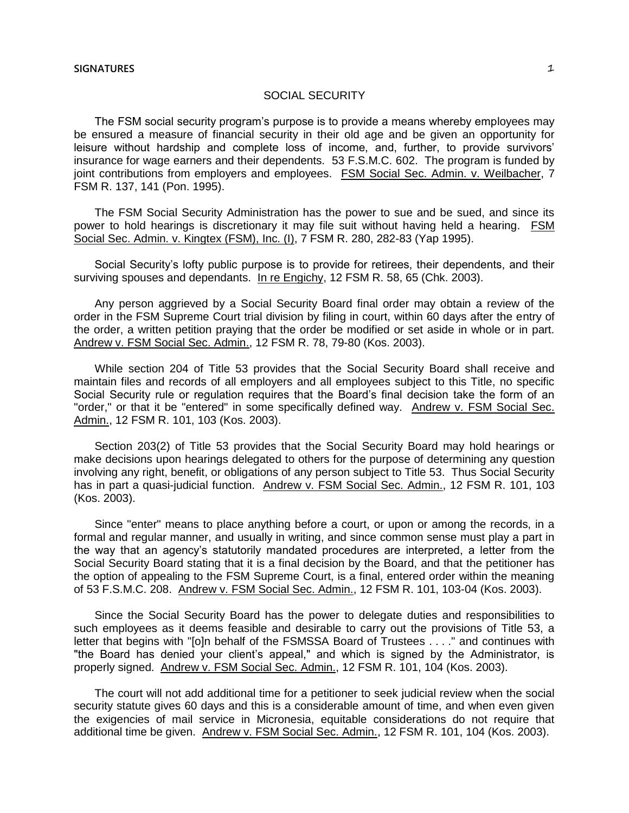The FSM social security program's purpose is to provide a means whereby employees may be ensured a measure of financial security in their old age and be given an opportunity for leisure without hardship and complete loss of income, and, further, to provide survivors' insurance for wage earners and their dependents. 53 F.S.M.C. 602. The program is funded by joint contributions from employers and employees. FSM Social Sec. Admin. v. Weilbacher, 7 FSM R. 137, 141 (Pon. 1995).

The FSM Social Security Administration has the power to sue and be sued, and since its power to hold hearings is discretionary it may file suit without having held a hearing. FSM Social Sec. Admin. v. Kingtex (FSM), Inc. (I), 7 FSM R. 280, 282-83 (Yap 1995).

Social Security's lofty public purpose is to provide for retirees, their dependents, and their surviving spouses and dependants. In re Engichy, 12 FSM R. 58, 65 (Chk. 2003).

Any person aggrieved by a Social Security Board final order may obtain a review of the order in the FSM Supreme Court trial division by filing in court, within 60 days after the entry of the order, a written petition praying that the order be modified or set aside in whole or in part. Andrew v. FSM Social Sec. Admin., 12 FSM R. 78, 79-80 (Kos. 2003).

While section 204 of Title 53 provides that the Social Security Board shall receive and maintain files and records of all employers and all employees subject to this Title, no specific Social Security rule or regulation requires that the Board's final decision take the form of an "order," or that it be "entered" in some specifically defined way. Andrew v. FSM Social Sec. Admin., 12 FSM R. 101, 103 (Kos. 2003).

Section 203(2) of Title 53 provides that the Social Security Board may hold hearings or make decisions upon hearings delegated to others for the purpose of determining any question involving any right, benefit, or obligations of any person subject to Title 53. Thus Social Security has in part a quasi-judicial function. Andrew v. FSM Social Sec. Admin., 12 FSM R. 101, 103 (Kos. 2003).

Since "enter" means to place anything before a court, or upon or among the records, in a formal and regular manner, and usually in writing, and since common sense must play a part in the way that an agency's statutorily mandated procedures are interpreted, a letter from the Social Security Board stating that it is a final decision by the Board, and that the petitioner has the option of appealing to the FSM Supreme Court, is a final, entered order within the meaning of 53 F.S.M.C. 208. Andrew v. FSM Social Sec. Admin., 12 FSM R. 101, 103-04 (Kos. 2003).

Since the Social Security Board has the power to delegate duties and responsibilities to such employees as it deems feasible and desirable to carry out the provisions of Title 53, a letter that begins with "[o]n behalf of the FSMSSA Board of Trustees . . . ." and continues with "the Board has denied your client's appeal," and which is signed by the Administrator, is properly signed. Andrew v. FSM Social Sec. Admin., 12 FSM R. 101, 104 (Kos. 2003).

The court will not add additional time for a petitioner to seek judicial review when the social security statute gives 60 days and this is a considerable amount of time, and when even given the exigencies of mail service in Micronesia, equitable considerations do not require that additional time be given. Andrew v. FSM Social Sec. Admin., 12 FSM R. 101, 104 (Kos. 2003).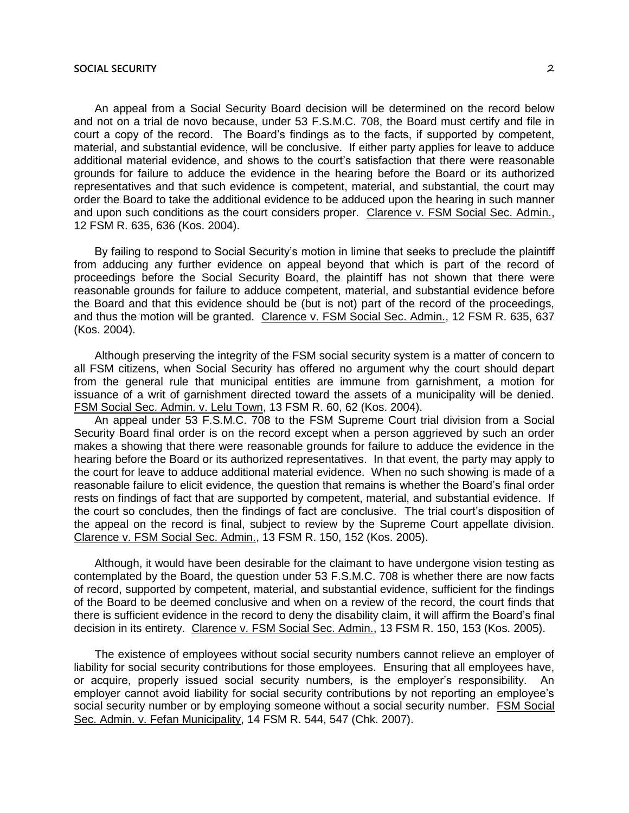An appeal from a Social Security Board decision will be determined on the record below and not on a trial de novo because, under 53 F.S.M.C. 708, the Board must certify and file in court a copy of the record. The Board's findings as to the facts, if supported by competent, material, and substantial evidence, will be conclusive. If either party applies for leave to adduce additional material evidence, and shows to the court's satisfaction that there were reasonable grounds for failure to adduce the evidence in the hearing before the Board or its authorized representatives and that such evidence is competent, material, and substantial, the court may order the Board to take the additional evidence to be adduced upon the hearing in such manner and upon such conditions as the court considers proper. Clarence v. FSM Social Sec. Admin., 12 FSM R. 635, 636 (Kos. 2004).

By failing to respond to Social Security's motion in limine that seeks to preclude the plaintiff from adducing any further evidence on appeal beyond that which is part of the record of proceedings before the Social Security Board, the plaintiff has not shown that there were reasonable grounds for failure to adduce competent, material, and substantial evidence before the Board and that this evidence should be (but is not) part of the record of the proceedings, and thus the motion will be granted. Clarence v. FSM Social Sec. Admin., 12 FSM R. 635, 637 (Kos. 2004).

Although preserving the integrity of the FSM social security system is a matter of concern to all FSM citizens, when Social Security has offered no argument why the court should depart from the general rule that municipal entities are immune from garnishment, a motion for issuance of a writ of garnishment directed toward the assets of a municipality will be denied. FSM Social Sec. Admin. v. Lelu Town, 13 FSM R. 60, 62 (Kos. 2004).

An appeal under 53 F.S.M.C. 708 to the FSM Supreme Court trial division from a Social Security Board final order is on the record except when a person aggrieved by such an order makes a showing that there were reasonable grounds for failure to adduce the evidence in the hearing before the Board or its authorized representatives. In that event, the party may apply to the court for leave to adduce additional material evidence. When no such showing is made of a reasonable failure to elicit evidence, the question that remains is whether the Board's final order rests on findings of fact that are supported by competent, material, and substantial evidence. If the court so concludes, then the findings of fact are conclusive. The trial court's disposition of the appeal on the record is final, subject to review by the Supreme Court appellate division. Clarence v. FSM Social Sec. Admin., 13 FSM R. 150, 152 (Kos. 2005).

Although, it would have been desirable for the claimant to have undergone vision testing as contemplated by the Board, the question under 53 F.S.M.C. 708 is whether there are now facts of record, supported by competent, material, and substantial evidence, sufficient for the findings of the Board to be deemed conclusive and when on a review of the record, the court finds that there is sufficient evidence in the record to deny the disability claim, it will affirm the Board's final decision in its entirety. Clarence v. FSM Social Sec. Admin., 13 FSM R. 150, 153 (Kos. 2005).

The existence of employees without social security numbers cannot relieve an employer of liability for social security contributions for those employees. Ensuring that all employees have, or acquire, properly issued social security numbers, is the employer's responsibility. An employer cannot avoid liability for social security contributions by not reporting an employee's social security number or by employing someone without a social security number. FSM Social Sec. Admin. v. Fefan Municipality, 14 FSM R. 544, 547 (Chk. 2007).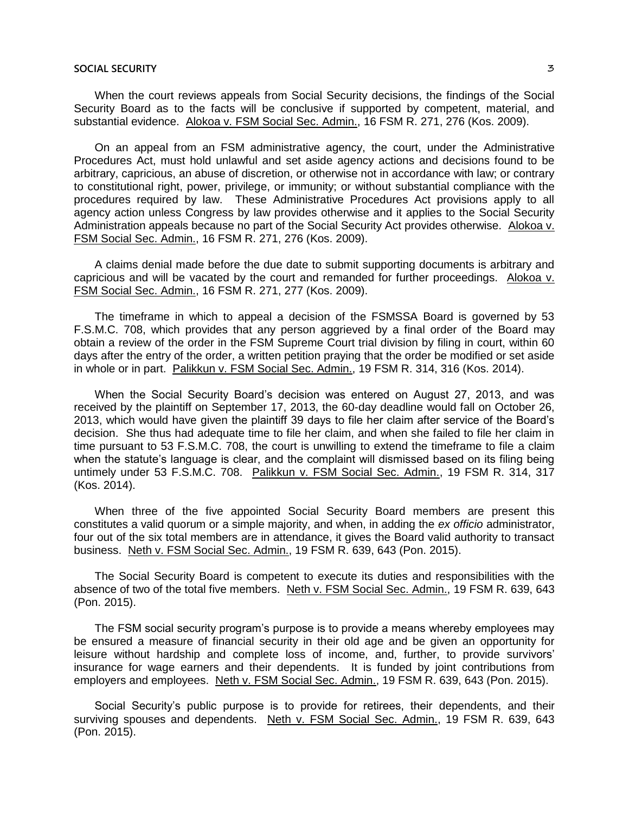When the court reviews appeals from Social Security decisions, the findings of the Social Security Board as to the facts will be conclusive if supported by competent, material, and substantial evidence. Alokoa v. FSM Social Sec. Admin., 16 FSM R. 271, 276 (Kos. 2009).

On an appeal from an FSM administrative agency, the court, under the Administrative Procedures Act, must hold unlawful and set aside agency actions and decisions found to be arbitrary, capricious, an abuse of discretion, or otherwise not in accordance with law; or contrary to constitutional right, power, privilege, or immunity; or without substantial compliance with the procedures required by law. These Administrative Procedures Act provisions apply to all agency action unless Congress by law provides otherwise and it applies to the Social Security Administration appeals because no part of the Social Security Act provides otherwise. Alokoa v. FSM Social Sec. Admin., 16 FSM R. 271, 276 (Kos. 2009).

A claims denial made before the due date to submit supporting documents is arbitrary and capricious and will be vacated by the court and remanded for further proceedings. Alokoa v. FSM Social Sec. Admin., 16 FSM R. 271, 277 (Kos. 2009).

The timeframe in which to appeal a decision of the FSMSSA Board is governed by 53 F.S.M.C. 708, which provides that any person aggrieved by a final order of the Board may obtain a review of the order in the FSM Supreme Court trial division by filing in court, within 60 days after the entry of the order, a written petition praying that the order be modified or set aside in whole or in part. Palikkun v. FSM Social Sec. Admin., 19 FSM R. 314, 316 (Kos. 2014).

When the Social Security Board's decision was entered on August 27, 2013, and was received by the plaintiff on September 17, 2013, the 60-day deadline would fall on October 26, 2013, which would have given the plaintiff 39 days to file her claim after service of the Board's decision. She thus had adequate time to file her claim, and when she failed to file her claim in time pursuant to 53 F.S.M.C. 708, the court is unwilling to extend the timeframe to file a claim when the statute's language is clear, and the complaint will dismissed based on its filing being untimely under 53 F.S.M.C. 708. Palikkun v. FSM Social Sec. Admin., 19 FSM R. 314, 317 (Kos. 2014).

When three of the five appointed Social Security Board members are present this constitutes a valid quorum or a simple majority, and when, in adding the *ex officio* administrator, four out of the six total members are in attendance, it gives the Board valid authority to transact business. Neth v. FSM Social Sec. Admin., 19 FSM R. 639, 643 (Pon. 2015).

The Social Security Board is competent to execute its duties and responsibilities with the absence of two of the total five members. Neth v. FSM Social Sec. Admin., 19 FSM R. 639, 643 (Pon. 2015).

The FSM social security program's purpose is to provide a means whereby employees may be ensured a measure of financial security in their old age and be given an opportunity for leisure without hardship and complete loss of income, and, further, to provide survivors' insurance for wage earners and their dependents. It is funded by joint contributions from employers and employees. Neth v. FSM Social Sec. Admin., 19 FSM R. 639, 643 (Pon. 2015).

Social Security's public purpose is to provide for retirees, their dependents, and their surviving spouses and dependents. Neth v. FSM Social Sec. Admin., 19 FSM R. 639, 643 (Pon. 2015).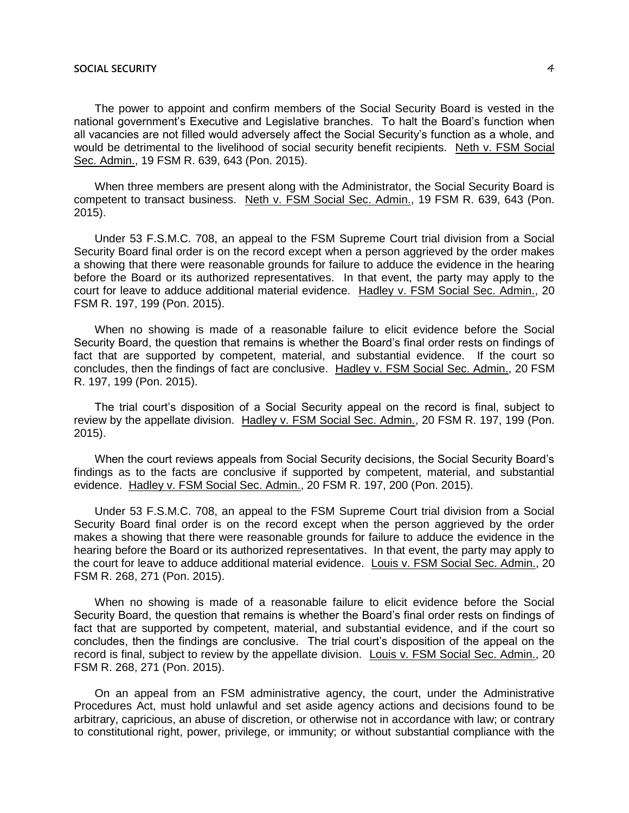The power to appoint and confirm members of the Social Security Board is vested in the national government's Executive and Legislative branches. To halt the Board's function when all vacancies are not filled would adversely affect the Social Security's function as a whole, and would be detrimental to the livelihood of social security benefit recipients. Neth v. FSM Social Sec. Admin., 19 FSM R. 639, 643 (Pon. 2015).

When three members are present along with the Administrator, the Social Security Board is competent to transact business. Neth v. FSM Social Sec. Admin., 19 FSM R. 639, 643 (Pon. 2015).

Under 53 F.S.M.C. 708, an appeal to the FSM Supreme Court trial division from a Social Security Board final order is on the record except when a person aggrieved by the order makes a showing that there were reasonable grounds for failure to adduce the evidence in the hearing before the Board or its authorized representatives. In that event, the party may apply to the court for leave to adduce additional material evidence. Hadley v. FSM Social Sec. Admin., 20 FSM R. 197, 199 (Pon. 2015).

When no showing is made of a reasonable failure to elicit evidence before the Social Security Board, the question that remains is whether the Board's final order rests on findings of fact that are supported by competent, material, and substantial evidence. If the court so concludes, then the findings of fact are conclusive. Hadley v. FSM Social Sec. Admin., 20 FSM R. 197, 199 (Pon. 2015).

The trial court's disposition of a Social Security appeal on the record is final, subject to review by the appellate division. Hadley v. FSM Social Sec. Admin., 20 FSM R. 197, 199 (Pon. 2015).

When the court reviews appeals from Social Security decisions, the Social Security Board's findings as to the facts are conclusive if supported by competent, material, and substantial evidence. Hadley v. FSM Social Sec. Admin., 20 FSM R. 197, 200 (Pon. 2015).

Under 53 F.S.M.C. 708, an appeal to the FSM Supreme Court trial division from a Social Security Board final order is on the record except when the person aggrieved by the order makes a showing that there were reasonable grounds for failure to adduce the evidence in the hearing before the Board or its authorized representatives. In that event, the party may apply to the court for leave to adduce additional material evidence. Louis v. FSM Social Sec. Admin., 20 FSM R. 268, 271 (Pon. 2015).

When no showing is made of a reasonable failure to elicit evidence before the Social Security Board, the question that remains is whether the Board's final order rests on findings of fact that are supported by competent, material, and substantial evidence, and if the court so concludes, then the findings are conclusive. The trial court's disposition of the appeal on the record is final, subject to review by the appellate division. Louis v. FSM Social Sec. Admin., 20 FSM R. 268, 271 (Pon. 2015).

On an appeal from an FSM administrative agency, the court, under the Administrative Procedures Act, must hold unlawful and set aside agency actions and decisions found to be arbitrary, capricious, an abuse of discretion, or otherwise not in accordance with law; or contrary to constitutional right, power, privilege, or immunity; or without substantial compliance with the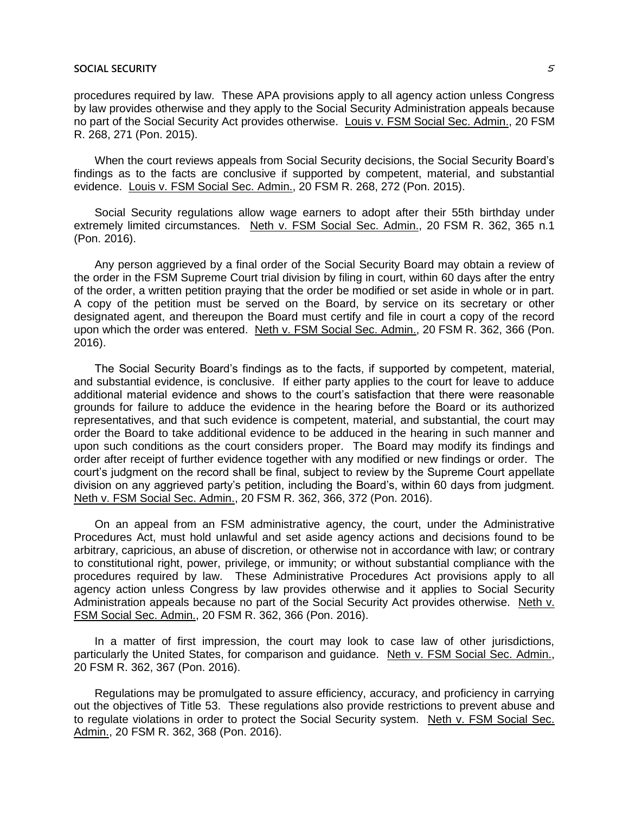procedures required by law. These APA provisions apply to all agency action unless Congress by law provides otherwise and they apply to the Social Security Administration appeals because no part of the Social Security Act provides otherwise. Louis v. FSM Social Sec. Admin., 20 FSM R. 268, 271 (Pon. 2015).

When the court reviews appeals from Social Security decisions, the Social Security Board's findings as to the facts are conclusive if supported by competent, material, and substantial evidence. Louis v. FSM Social Sec. Admin., 20 FSM R. 268, 272 (Pon. 2015).

Social Security regulations allow wage earners to adopt after their 55th birthday under extremely limited circumstances. Neth v. FSM Social Sec. Admin., 20 FSM R. 362, 365 n.1 (Pon. 2016).

Any person aggrieved by a final order of the Social Security Board may obtain a review of the order in the FSM Supreme Court trial division by filing in court, within 60 days after the entry of the order, a written petition praying that the order be modified or set aside in whole or in part. A copy of the petition must be served on the Board, by service on its secretary or other designated agent, and thereupon the Board must certify and file in court a copy of the record upon which the order was entered. Neth v. FSM Social Sec. Admin., 20 FSM R. 362, 366 (Pon. 2016).

The Social Security Board's findings as to the facts, if supported by competent, material, and substantial evidence, is conclusive. If either party applies to the court for leave to adduce additional material evidence and shows to the court's satisfaction that there were reasonable grounds for failure to adduce the evidence in the hearing before the Board or its authorized representatives, and that such evidence is competent, material, and substantial, the court may order the Board to take additional evidence to be adduced in the hearing in such manner and upon such conditions as the court considers proper. The Board may modify its findings and order after receipt of further evidence together with any modified or new findings or order. The court's judgment on the record shall be final, subject to review by the Supreme Court appellate division on any aggrieved party's petition, including the Board's, within 60 days from judgment. Neth v. FSM Social Sec. Admin., 20 FSM R. 362, 366, 372 (Pon. 2016).

On an appeal from an FSM administrative agency, the court, under the Administrative Procedures Act, must hold unlawful and set aside agency actions and decisions found to be arbitrary, capricious, an abuse of discretion, or otherwise not in accordance with law; or contrary to constitutional right, power, privilege, or immunity; or without substantial compliance with the procedures required by law. These Administrative Procedures Act provisions apply to all agency action unless Congress by law provides otherwise and it applies to Social Security Administration appeals because no part of the Social Security Act provides otherwise. Neth v. FSM Social Sec. Admin., 20 FSM R. 362, 366 (Pon. 2016).

In a matter of first impression, the court may look to case law of other jurisdictions, particularly the United States, for comparison and guidance. Neth v. FSM Social Sec. Admin., 20 FSM R. 362, 367 (Pon. 2016).

Regulations may be promulgated to assure efficiency, accuracy, and proficiency in carrying out the objectives of Title 53. These regulations also provide restrictions to prevent abuse and to regulate violations in order to protect the Social Security system. Neth v. FSM Social Sec. Admin., 20 FSM R. 362, 368 (Pon. 2016).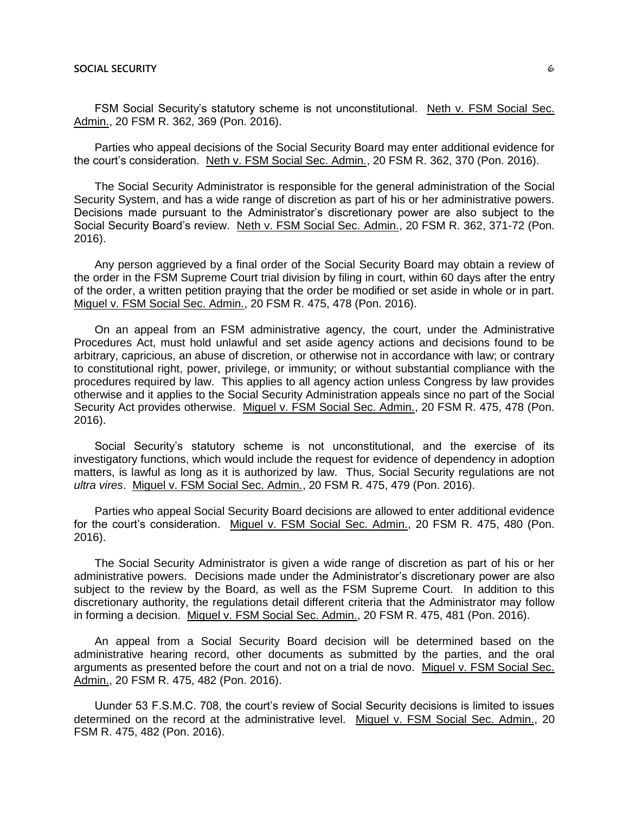FSM Social Security's statutory scheme is not unconstitutional. Neth v. FSM Social Sec. Admin., 20 FSM R. 362, 369 (Pon. 2016).

Parties who appeal decisions of the Social Security Board may enter additional evidence for the court's consideration. Neth v. FSM Social Sec. Admin., 20 FSM R. 362, 370 (Pon. 2016).

The Social Security Administrator is responsible for the general administration of the Social Security System, and has a wide range of discretion as part of his or her administrative powers. Decisions made pursuant to the Administrator's discretionary power are also subject to the Social Security Board's review. Neth v. FSM Social Sec. Admin., 20 FSM R. 362, 371-72 (Pon. 2016).

Any person aggrieved by a final order of the Social Security Board may obtain a review of the order in the FSM Supreme Court trial division by filing in court, within 60 days after the entry of the order, a written petition praying that the order be modified or set aside in whole or in part. Miguel v. FSM Social Sec. Admin., 20 FSM R. 475, 478 (Pon. 2016).

On an appeal from an FSM administrative agency, the court, under the Administrative Procedures Act, must hold unlawful and set aside agency actions and decisions found to be arbitrary, capricious, an abuse of discretion, or otherwise not in accordance with law; or contrary to constitutional right, power, privilege, or immunity; or without substantial compliance with the procedures required by law. This applies to all agency action unless Congress by law provides otherwise and it applies to the Social Security Administration appeals since no part of the Social Security Act provides otherwise. Miguel v. FSM Social Sec. Admin., 20 FSM R. 475, 478 (Pon. 2016).

Social Security's statutory scheme is not unconstitutional, and the exercise of its investigatory functions, which would include the request for evidence of dependency in adoption matters, is lawful as long as it is authorized by law. Thus, Social Security regulations are not *ultra vires*. Miguel v. FSM Social Sec. Admin., 20 FSM R. 475, 479 (Pon. 2016).

Parties who appeal Social Security Board decisions are allowed to enter additional evidence for the court's consideration. Miguel v. FSM Social Sec. Admin., 20 FSM R. 475, 480 (Pon. 2016).

The Social Security Administrator is given a wide range of discretion as part of his or her administrative powers. Decisions made under the Administrator's discretionary power are also subject to the review by the Board, as well as the FSM Supreme Court. In addition to this discretionary authority, the regulations detail different criteria that the Administrator may follow in forming a decision. Miguel v. FSM Social Sec. Admin., 20 FSM R. 475, 481 (Pon. 2016).

An appeal from a Social Security Board decision will be determined based on the administrative hearing record, other documents as submitted by the parties, and the oral arguments as presented before the court and not on a trial de novo. Miguel v. FSM Social Sec. Admin., 20 FSM R. 475, 482 (Pon. 2016).

Uunder 53 F.S.M.C. 708, the court's review of Social Security decisions is limited to issues determined on the record at the administrative level. Miguel v. FSM Social Sec. Admin., 20 FSM R. 475, 482 (Pon. 2016).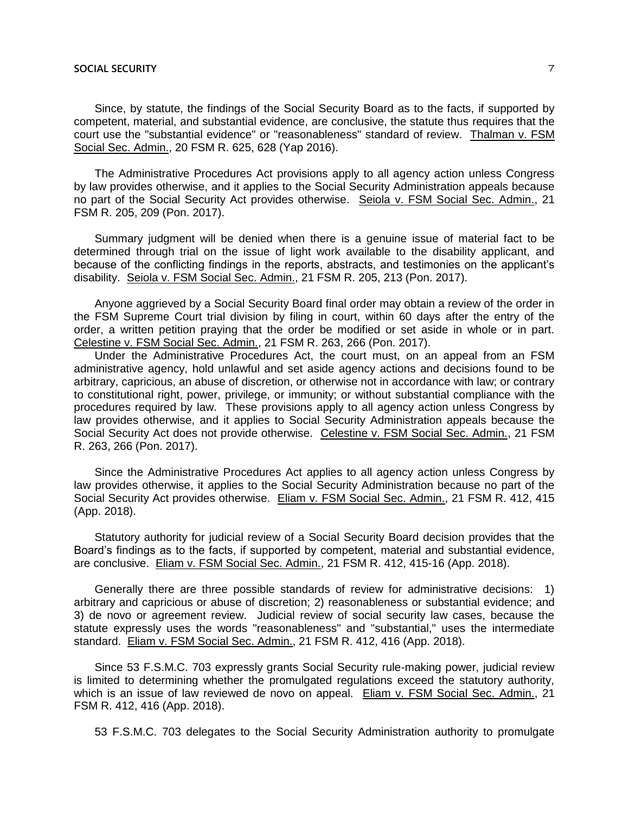Since, by statute, the findings of the Social Security Board as to the facts, if supported by competent, material, and substantial evidence, are conclusive, the statute thus requires that the court use the "substantial evidence" or "reasonableness" standard of review. Thalman v. FSM Social Sec. Admin., 20 FSM R. 625, 628 (Yap 2016).

The Administrative Procedures Act provisions apply to all agency action unless Congress by law provides otherwise, and it applies to the Social Security Administration appeals because no part of the Social Security Act provides otherwise. Seiola v. FSM Social Sec. Admin., 21 FSM R. 205, 209 (Pon. 2017).

Summary judgment will be denied when there is a genuine issue of material fact to be determined through trial on the issue of light work available to the disability applicant, and because of the conflicting findings in the reports, abstracts, and testimonies on the applicant's disability. Seiola v. FSM Social Sec. Admin., 21 FSM R. 205, 213 (Pon. 2017).

Anyone aggrieved by a Social Security Board final order may obtain a review of the order in the FSM Supreme Court trial division by filing in court, within 60 days after the entry of the order, a written petition praying that the order be modified or set aside in whole or in part. Celestine v. FSM Social Sec. Admin., 21 FSM R. 263, 266 (Pon. 2017).

Under the Administrative Procedures Act, the court must, on an appeal from an FSM administrative agency, hold unlawful and set aside agency actions and decisions found to be arbitrary, capricious, an abuse of discretion, or otherwise not in accordance with law; or contrary to constitutional right, power, privilege, or immunity; or without substantial compliance with the procedures required by law. These provisions apply to all agency action unless Congress by law provides otherwise, and it applies to Social Security Administration appeals because the Social Security Act does not provide otherwise. Celestine v. FSM Social Sec. Admin., 21 FSM R. 263, 266 (Pon. 2017).

Since the Administrative Procedures Act applies to all agency action unless Congress by law provides otherwise, it applies to the Social Security Administration because no part of the Social Security Act provides otherwise. Eliam v. FSM Social Sec. Admin., 21 FSM R. 412, 415 (App. 2018).

Statutory authority for judicial review of a Social Security Board decision provides that the Board's findings as to the facts, if supported by competent, material and substantial evidence, are conclusive. Eliam v. FSM Social Sec. Admin., 21 FSM R. 412, 415-16 (App. 2018).

Generally there are three possible standards of review for administrative decisions: 1) arbitrary and capricious or abuse of discretion; 2) reasonableness or substantial evidence; and 3) de novo or agreement review. Judicial review of social security law cases, because the statute expressly uses the words "reasonableness" and "substantial," uses the intermediate standard. Eliam v. FSM Social Sec. Admin., 21 FSM R. 412, 416 (App. 2018).

Since 53 F.S.M.C. 703 expressly grants Social Security rule-making power, judicial review is limited to determining whether the promulgated regulations exceed the statutory authority, which is an issue of law reviewed de novo on appeal. Eliam v. FSM Social Sec. Admin., 21 FSM R. 412, 416 (App. 2018).

53 F.S.M.C. 703 delegates to the Social Security Administration authority to promulgate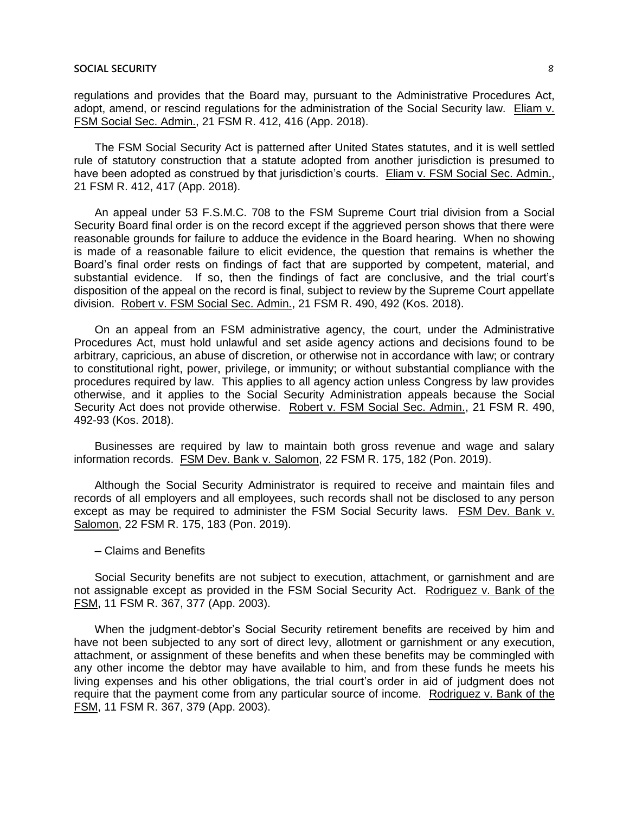regulations and provides that the Board may, pursuant to the Administrative Procedures Act, adopt, amend, or rescind regulations for the administration of the Social Security law. Eliam v. FSM Social Sec. Admin., 21 FSM R. 412, 416 (App. 2018).

The FSM Social Security Act is patterned after United States statutes, and it is well settled rule of statutory construction that a statute adopted from another jurisdiction is presumed to have been adopted as construed by that jurisdiction's courts. Eliam v. FSM Social Sec. Admin., 21 FSM R. 412, 417 (App. 2018).

An appeal under 53 F.S.M.C. 708 to the FSM Supreme Court trial division from a Social Security Board final order is on the record except if the aggrieved person shows that there were reasonable grounds for failure to adduce the evidence in the Board hearing. When no showing is made of a reasonable failure to elicit evidence, the question that remains is whether the Board's final order rests on findings of fact that are supported by competent, material, and substantial evidence. If so, then the findings of fact are conclusive, and the trial court's disposition of the appeal on the record is final, subject to review by the Supreme Court appellate division. Robert v. FSM Social Sec. Admin., 21 FSM R. 490, 492 (Kos. 2018).

On an appeal from an FSM administrative agency, the court, under the Administrative Procedures Act, must hold unlawful and set aside agency actions and decisions found to be arbitrary, capricious, an abuse of discretion, or otherwise not in accordance with law; or contrary to constitutional right, power, privilege, or immunity; or without substantial compliance with the procedures required by law. This applies to all agency action unless Congress by law provides otherwise, and it applies to the Social Security Administration appeals because the Social Security Act does not provide otherwise. Robert v. FSM Social Sec. Admin., 21 FSM R. 490, 492-93 (Kos. 2018).

Businesses are required by law to maintain both gross revenue and wage and salary information records. FSM Dev. Bank v. Salomon, 22 FSM R. 175, 182 (Pon. 2019).

Although the Social Security Administrator is required to receive and maintain files and records of all employers and all employees, such records shall not be disclosed to any person except as may be required to administer the FSM Social Security laws. FSM Dev. Bank v. Salomon, 22 FSM R. 175, 183 (Pon. 2019).

#### ─ Claims and Benefits

Social Security benefits are not subject to execution, attachment, or garnishment and are not assignable except as provided in the FSM Social Security Act. Rodriguez v. Bank of the FSM, 11 FSM R. 367, 377 (App. 2003).

When the judgment-debtor's Social Security retirement benefits are received by him and have not been subjected to any sort of direct levy, allotment or garnishment or any execution, attachment, or assignment of these benefits and when these benefits may be commingled with any other income the debtor may have available to him, and from these funds he meets his living expenses and his other obligations, the trial court's order in aid of judgment does not require that the payment come from any particular source of income. Rodriguez v. Bank of the FSM, 11 FSM R. 367, 379 (App. 2003).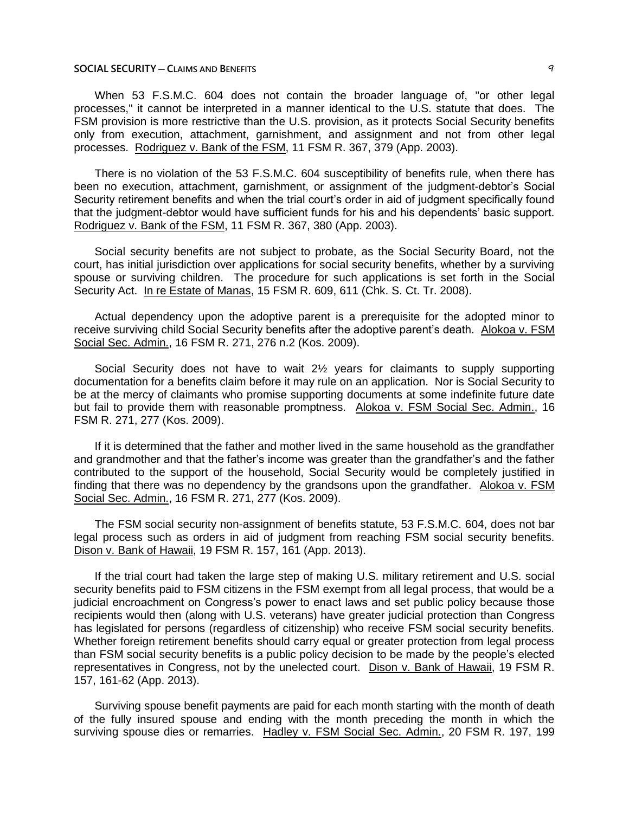When 53 F.S.M.C. 604 does not contain the broader language of, "or other legal processes," it cannot be interpreted in a manner identical to the U.S. statute that does. The FSM provision is more restrictive than the U.S. provision, as it protects Social Security benefits only from execution, attachment, garnishment, and assignment and not from other legal processes. Rodriguez v. Bank of the FSM, 11 FSM R. 367, 379 (App. 2003).

There is no violation of the 53 F.S.M.C. 604 susceptibility of benefits rule, when there has been no execution, attachment, garnishment, or assignment of the judgment-debtor's Social Security retirement benefits and when the trial court's order in aid of judgment specifically found that the judgment-debtor would have sufficient funds for his and his dependents' basic support. Rodriguez v. Bank of the FSM, 11 FSM R. 367, 380 (App. 2003).

Social security benefits are not subject to probate, as the Social Security Board, not the court, has initial jurisdiction over applications for social security benefits, whether by a surviving spouse or surviving children. The procedure for such applications is set forth in the Social Security Act. In re Estate of Manas, 15 FSM R. 609, 611 (Chk. S. Ct. Tr. 2008).

Actual dependency upon the adoptive parent is a prerequisite for the adopted minor to receive surviving child Social Security benefits after the adoptive parent's death. Alokoa v. FSM Social Sec. Admin., 16 FSM R. 271, 276 n.2 (Kos. 2009).

Social Security does not have to wait 2½ years for claimants to supply supporting documentation for a benefits claim before it may rule on an application. Nor is Social Security to be at the mercy of claimants who promise supporting documents at some indefinite future date but fail to provide them with reasonable promptness. Alokoa v. FSM Social Sec. Admin., 16 FSM R. 271, 277 (Kos. 2009).

If it is determined that the father and mother lived in the same household as the grandfather and grandmother and that the father's income was greater than the grandfather's and the father contributed to the support of the household, Social Security would be completely justified in finding that there was no dependency by the grandsons upon the grandfather. Alokoa v. FSM Social Sec. Admin., 16 FSM R. 271, 277 (Kos. 2009).

The FSM social security non-assignment of benefits statute, 53 F.S.M.C. 604, does not bar legal process such as orders in aid of judgment from reaching FSM social security benefits. Dison v. Bank of Hawaii, 19 FSM R. 157, 161 (App. 2013).

If the trial court had taken the large step of making U.S. military retirement and U.S. social security benefits paid to FSM citizens in the FSM exempt from all legal process, that would be a judicial encroachment on Congress's power to enact laws and set public policy because those recipients would then (along with U.S. veterans) have greater judicial protection than Congress has legislated for persons (regardless of citizenship) who receive FSM social security benefits. Whether foreign retirement benefits should carry equal or greater protection from legal process than FSM social security benefits is a public policy decision to be made by the people's elected representatives in Congress, not by the unelected court. Dison v. Bank of Hawaii, 19 FSM R. 157, 161-62 (App. 2013).

Surviving spouse benefit payments are paid for each month starting with the month of death of the fully insured spouse and ending with the month preceding the month in which the surviving spouse dies or remarries. Hadley v. FSM Social Sec. Admin., 20 FSM R. 197, 199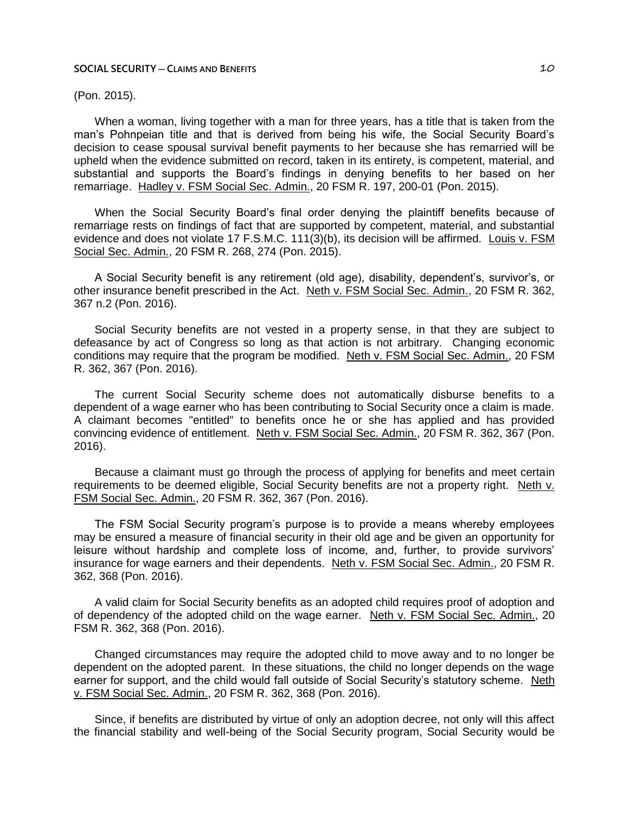(Pon. 2015).

When a woman, living together with a man for three years, has a title that is taken from the man's Pohnpeian title and that is derived from being his wife, the Social Security Board's decision to cease spousal survival benefit payments to her because she has remarried will be upheld when the evidence submitted on record, taken in its entirety, is competent, material, and substantial and supports the Board's findings in denying benefits to her based on her remarriage. Hadley v. FSM Social Sec. Admin., 20 FSM R. 197, 200-01 (Pon. 2015).

When the Social Security Board's final order denying the plaintiff benefits because of remarriage rests on findings of fact that are supported by competent, material, and substantial evidence and does not violate 17 F.S.M.C. 111(3)(b), its decision will be affirmed. Louis v. FSM Social Sec. Admin., 20 FSM R. 268, 274 (Pon. 2015).

A Social Security benefit is any retirement (old age), disability, dependent's, survivor's, or other insurance benefit prescribed in the Act. Neth v. FSM Social Sec. Admin., 20 FSM R. 362, 367 n.2 (Pon. 2016).

Social Security benefits are not vested in a property sense, in that they are subject to defeasance by act of Congress so long as that action is not arbitrary. Changing economic conditions may require that the program be modified. Neth v. FSM Social Sec. Admin., 20 FSM R. 362, 367 (Pon. 2016).

The current Social Security scheme does not automatically disburse benefits to a dependent of a wage earner who has been contributing to Social Security once a claim is made. A claimant becomes "entitled" to benefits once he or she has applied and has provided convincing evidence of entitlement. Neth v. FSM Social Sec. Admin., 20 FSM R. 362, 367 (Pon. 2016).

Because a claimant must go through the process of applying for benefits and meet certain requirements to be deemed eligible, Social Security benefits are not a property right. Neth v. FSM Social Sec. Admin., 20 FSM R. 362, 367 (Pon. 2016).

The FSM Social Security program's purpose is to provide a means whereby employees may be ensured a measure of financial security in their old age and be given an opportunity for leisure without hardship and complete loss of income, and, further, to provide survivors' insurance for wage earners and their dependents. Neth v. FSM Social Sec. Admin., 20 FSM R. 362, 368 (Pon. 2016).

A valid claim for Social Security benefits as an adopted child requires proof of adoption and of dependency of the adopted child on the wage earner. Neth v. FSM Social Sec. Admin., 20 FSM R. 362, 368 (Pon. 2016).

Changed circumstances may require the adopted child to move away and to no longer be dependent on the adopted parent. In these situations, the child no longer depends on the wage earner for support, and the child would fall outside of Social Security's statutory scheme. Neth v. FSM Social Sec. Admin., 20 FSM R. 362, 368 (Pon. 2016).

Since, if benefits are distributed by virtue of only an adoption decree, not only will this affect the financial stability and well-being of the Social Security program, Social Security would be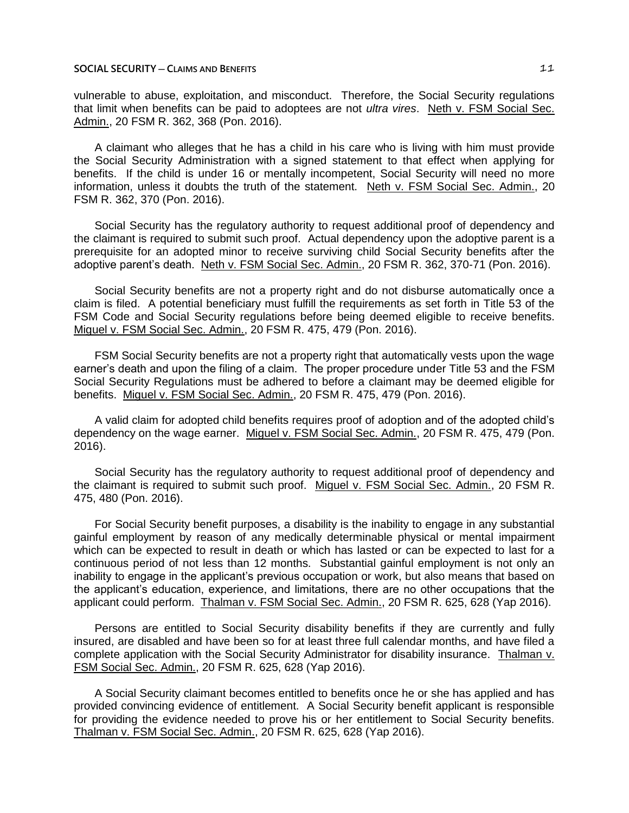vulnerable to abuse, exploitation, and misconduct. Therefore, the Social Security regulations that limit when benefits can be paid to adoptees are not *ultra vires*. Neth v. FSM Social Sec. Admin., 20 FSM R. 362, 368 (Pon. 2016).

A claimant who alleges that he has a child in his care who is living with him must provide the Social Security Administration with a signed statement to that effect when applying for benefits. If the child is under 16 or mentally incompetent, Social Security will need no more information, unless it doubts the truth of the statement. Neth v. FSM Social Sec. Admin., 20 FSM R. 362, 370 (Pon. 2016).

Social Security has the regulatory authority to request additional proof of dependency and the claimant is required to submit such proof. Actual dependency upon the adoptive parent is a prerequisite for an adopted minor to receive surviving child Social Security benefits after the adoptive parent's death. Neth v. FSM Social Sec. Admin., 20 FSM R. 362, 370-71 (Pon. 2016).

Social Security benefits are not a property right and do not disburse automatically once a claim is filed. A potential beneficiary must fulfill the requirements as set forth in Title 53 of the FSM Code and Social Security regulations before being deemed eligible to receive benefits. Miguel v. FSM Social Sec. Admin., 20 FSM R. 475, 479 (Pon. 2016).

FSM Social Security benefits are not a property right that automatically vests upon the wage earner's death and upon the filing of a claim. The proper procedure under Title 53 and the FSM Social Security Regulations must be adhered to before a claimant may be deemed eligible for benefits. Miguel v. FSM Social Sec. Admin., 20 FSM R. 475, 479 (Pon. 2016).

A valid claim for adopted child benefits requires proof of adoption and of the adopted child's dependency on the wage earner. Miguel v. FSM Social Sec. Admin., 20 FSM R. 475, 479 (Pon. 2016).

Social Security has the regulatory authority to request additional proof of dependency and the claimant is required to submit such proof. Miguel v. FSM Social Sec. Admin., 20 FSM R. 475, 480 (Pon. 2016).

For Social Security benefit purposes, a disability is the inability to engage in any substantial gainful employment by reason of any medically determinable physical or mental impairment which can be expected to result in death or which has lasted or can be expected to last for a continuous period of not less than 12 months. Substantial gainful employment is not only an inability to engage in the applicant's previous occupation or work, but also means that based on the applicant's education, experience, and limitations, there are no other occupations that the applicant could perform. Thalman v. FSM Social Sec. Admin., 20 FSM R. 625, 628 (Yap 2016).

Persons are entitled to Social Security disability benefits if they are currently and fully insured, are disabled and have been so for at least three full calendar months, and have filed a complete application with the Social Security Administrator for disability insurance. Thalman v. FSM Social Sec. Admin., 20 FSM R. 625, 628 (Yap 2016).

A Social Security claimant becomes entitled to benefits once he or she has applied and has provided convincing evidence of entitlement. A Social Security benefit applicant is responsible for providing the evidence needed to prove his or her entitlement to Social Security benefits. Thalman v. FSM Social Sec. Admin., 20 FSM R. 625, 628 (Yap 2016).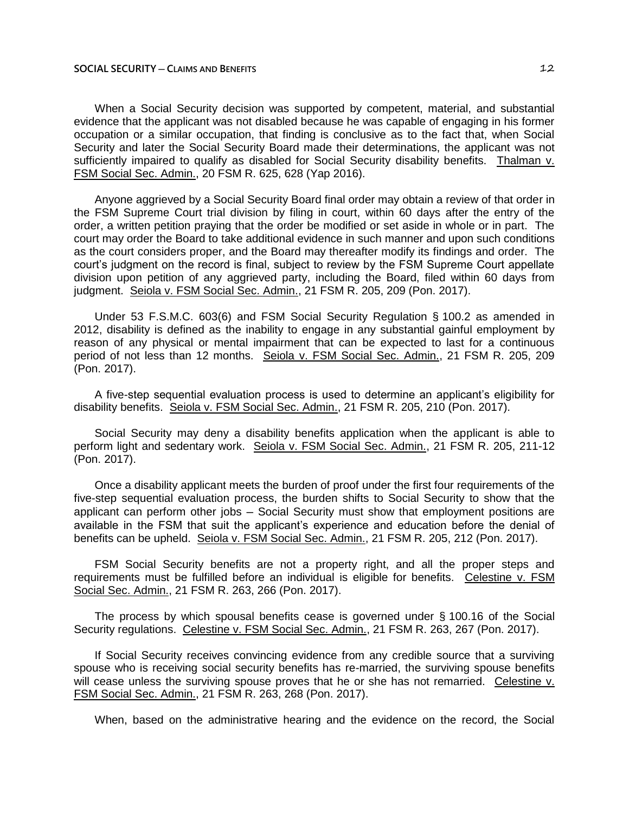When a Social Security decision was supported by competent, material, and substantial evidence that the applicant was not disabled because he was capable of engaging in his former occupation or a similar occupation, that finding is conclusive as to the fact that, when Social Security and later the Social Security Board made their determinations, the applicant was not sufficiently impaired to qualify as disabled for Social Security disability benefits. Thalman v. FSM Social Sec. Admin., 20 FSM R. 625, 628 (Yap 2016).

Anyone aggrieved by a Social Security Board final order may obtain a review of that order in the FSM Supreme Court trial division by filing in court, within 60 days after the entry of the order, a written petition praying that the order be modified or set aside in whole or in part. The court may order the Board to take additional evidence in such manner and upon such conditions as the court considers proper, and the Board may thereafter modify its findings and order. The court's judgment on the record is final, subject to review by the FSM Supreme Court appellate division upon petition of any aggrieved party, including the Board, filed within 60 days from judgment. Seiola v. FSM Social Sec. Admin., 21 FSM R. 205, 209 (Pon. 2017).

Under 53 F.S.M.C. 603(6) and FSM Social Security Regulation § 100.2 as amended in 2012, disability is defined as the inability to engage in any substantial gainful employment by reason of any physical or mental impairment that can be expected to last for a continuous period of not less than 12 months. Seiola v. FSM Social Sec. Admin., 21 FSM R. 205, 209 (Pon. 2017).

A five-step sequential evaluation process is used to determine an applicant's eligibility for disability benefits. Seiola v. FSM Social Sec. Admin., 21 FSM R. 205, 210 (Pon. 2017).

Social Security may deny a disability benefits application when the applicant is able to perform light and sedentary work. Seiola v. FSM Social Sec. Admin., 21 FSM R. 205, 211-12 (Pon. 2017).

Once a disability applicant meets the burden of proof under the first four requirements of the five-step sequential evaluation process, the burden shifts to Social Security to show that the applicant can perform other jobs ─ Social Security must show that employment positions are available in the FSM that suit the applicant's experience and education before the denial of benefits can be upheld. Seiola v. FSM Social Sec. Admin., 21 FSM R. 205, 212 (Pon. 2017).

FSM Social Security benefits are not a property right, and all the proper steps and requirements must be fulfilled before an individual is eligible for benefits. Celestine v. FSM Social Sec. Admin., 21 FSM R. 263, 266 (Pon. 2017).

The process by which spousal benefits cease is governed under § 100.16 of the Social Security regulations. Celestine v. FSM Social Sec. Admin., 21 FSM R. 263, 267 (Pon. 2017).

If Social Security receives convincing evidence from any credible source that a surviving spouse who is receiving social security benefits has re-married, the surviving spouse benefits will cease unless the surviving spouse proves that he or she has not remarried. Celestine v. FSM Social Sec. Admin., 21 FSM R. 263, 268 (Pon. 2017).

When, based on the administrative hearing and the evidence on the record, the Social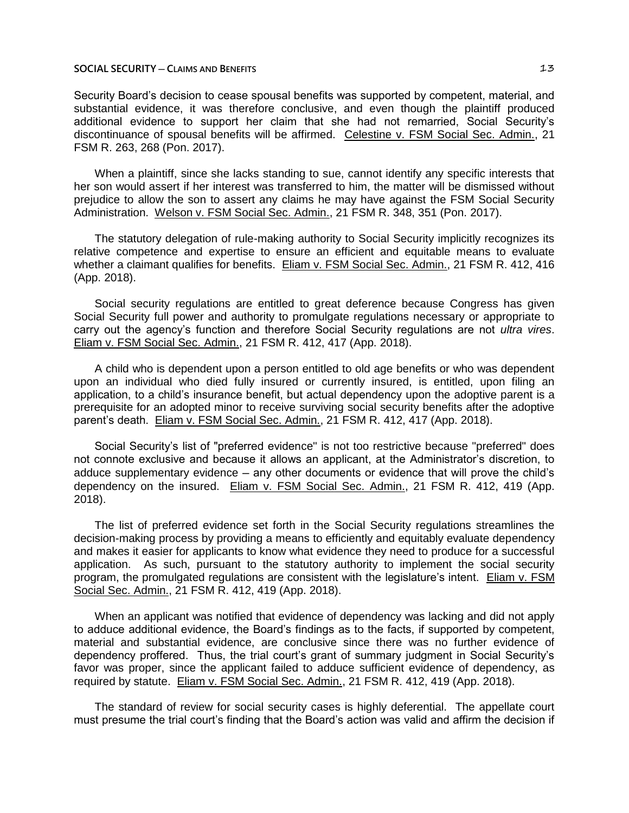Security Board's decision to cease spousal benefits was supported by competent, material, and substantial evidence, it was therefore conclusive, and even though the plaintiff produced additional evidence to support her claim that she had not remarried, Social Security's discontinuance of spousal benefits will be affirmed. Celestine v. FSM Social Sec. Admin., 21 FSM R. 263, 268 (Pon. 2017).

When a plaintiff, since she lacks standing to sue, cannot identify any specific interests that her son would assert if her interest was transferred to him, the matter will be dismissed without prejudice to allow the son to assert any claims he may have against the FSM Social Security Administration. Welson v. FSM Social Sec. Admin., 21 FSM R. 348, 351 (Pon. 2017).

The statutory delegation of rule-making authority to Social Security implicitly recognizes its relative competence and expertise to ensure an efficient and equitable means to evaluate whether a claimant qualifies for benefits. Eliam v. FSM Social Sec. Admin., 21 FSM R. 412, 416 (App. 2018).

Social security regulations are entitled to great deference because Congress has given Social Security full power and authority to promulgate regulations necessary or appropriate to carry out the agency's function and therefore Social Security regulations are not *ultra vires*. Eliam v. FSM Social Sec. Admin., 21 FSM R. 412, 417 (App. 2018).

A child who is dependent upon a person entitled to old age benefits or who was dependent upon an individual who died fully insured or currently insured, is entitled, upon filing an application, to a child's insurance benefit, but actual dependency upon the adoptive parent is a prerequisite for an adopted minor to receive surviving social security benefits after the adoptive parent's death. Eliam v. FSM Social Sec. Admin., 21 FSM R. 412, 417 (App. 2018).

Social Security's list of "preferred evidence" is not too restrictive because "preferred" does not connote exclusive and because it allows an applicant, at the Administrator's discretion, to adduce supplementary evidence — any other documents or evidence that will prove the child's dependency on the insured. Eliam v. FSM Social Sec. Admin., 21 FSM R. 412, 419 (App. 2018).

The list of preferred evidence set forth in the Social Security regulations streamlines the decision-making process by providing a means to efficiently and equitably evaluate dependency and makes it easier for applicants to know what evidence they need to produce for a successful application. As such, pursuant to the statutory authority to implement the social security program, the promulgated regulations are consistent with the legislature's intent. Eliam v. FSM Social Sec. Admin., 21 FSM R. 412, 419 (App. 2018).

When an applicant was notified that evidence of dependency was lacking and did not apply to adduce additional evidence, the Board's findings as to the facts, if supported by competent, material and substantial evidence, are conclusive since there was no further evidence of dependency proffered. Thus, the trial court's grant of summary judgment in Social Security's favor was proper, since the applicant failed to adduce sufficient evidence of dependency, as required by statute. Eliam v. FSM Social Sec. Admin., 21 FSM R. 412, 419 (App. 2018).

The standard of review for social security cases is highly deferential. The appellate court must presume the trial court's finding that the Board's action was valid and affirm the decision if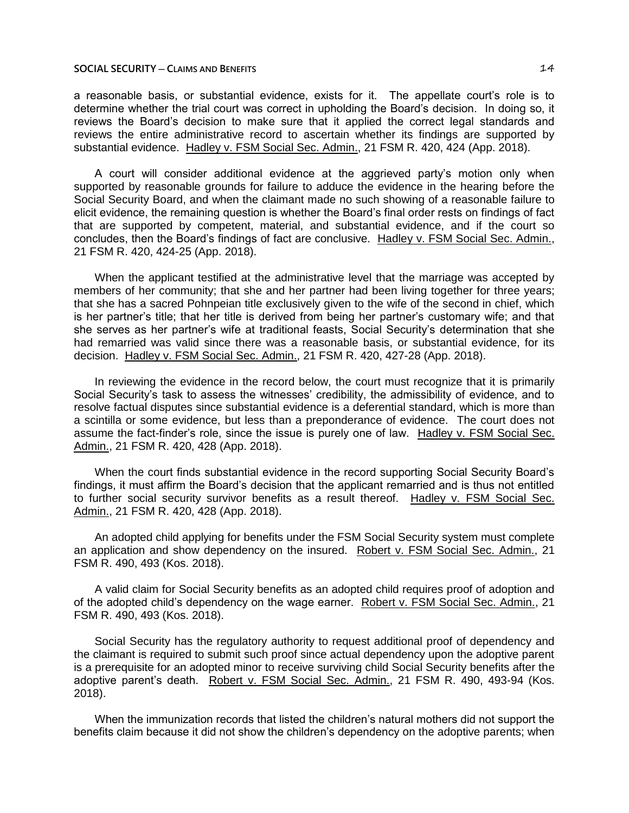a reasonable basis, or substantial evidence, exists for it. The appellate court's role is to determine whether the trial court was correct in upholding the Board's decision. In doing so, it reviews the Board's decision to make sure that it applied the correct legal standards and reviews the entire administrative record to ascertain whether its findings are supported by substantial evidence. Hadley v. FSM Social Sec. Admin., 21 FSM R. 420, 424 (App. 2018).

A court will consider additional evidence at the aggrieved party's motion only when supported by reasonable grounds for failure to adduce the evidence in the hearing before the Social Security Board, and when the claimant made no such showing of a reasonable failure to elicit evidence, the remaining question is whether the Board's final order rests on findings of fact that are supported by competent, material, and substantial evidence, and if the court so concludes, then the Board's findings of fact are conclusive. Hadley v. FSM Social Sec. Admin., 21 FSM R. 420, 424-25 (App. 2018).

When the applicant testified at the administrative level that the marriage was accepted by members of her community; that she and her partner had been living together for three years; that she has a sacred Pohnpeian title exclusively given to the wife of the second in chief, which is her partner's title; that her title is derived from being her partner's customary wife; and that she serves as her partner's wife at traditional feasts, Social Security's determination that she had remarried was valid since there was a reasonable basis, or substantial evidence, for its decision. Hadley v. FSM Social Sec. Admin., 21 FSM R. 420, 427-28 (App. 2018).

In reviewing the evidence in the record below, the court must recognize that it is primarily Social Security's task to assess the witnesses' credibility, the admissibility of evidence, and to resolve factual disputes since substantial evidence is a deferential standard, which is more than a scintilla or some evidence, but less than a preponderance of evidence. The court does not assume the fact-finder's role, since the issue is purely one of law. Hadley v. FSM Social Sec. Admin., 21 FSM R. 420, 428 (App. 2018).

When the court finds substantial evidence in the record supporting Social Security Board's findings, it must affirm the Board's decision that the applicant remarried and is thus not entitled to further social security survivor benefits as a result thereof. Hadley v. FSM Social Sec. Admin., 21 FSM R. 420, 428 (App. 2018).

An adopted child applying for benefits under the FSM Social Security system must complete an application and show dependency on the insured. Robert v. FSM Social Sec. Admin., 21 FSM R. 490, 493 (Kos. 2018).

A valid claim for Social Security benefits as an adopted child requires proof of adoption and of the adopted child's dependency on the wage earner. Robert v. FSM Social Sec. Admin., 21 FSM R. 490, 493 (Kos. 2018).

Social Security has the regulatory authority to request additional proof of dependency and the claimant is required to submit such proof since actual dependency upon the adoptive parent is a prerequisite for an adopted minor to receive surviving child Social Security benefits after the adoptive parent's death. Robert v. FSM Social Sec. Admin., 21 FSM R. 490, 493-94 (Kos. 2018).

When the immunization records that listed the children's natural mothers did not support the benefits claim because it did not show the children's dependency on the adoptive parents; when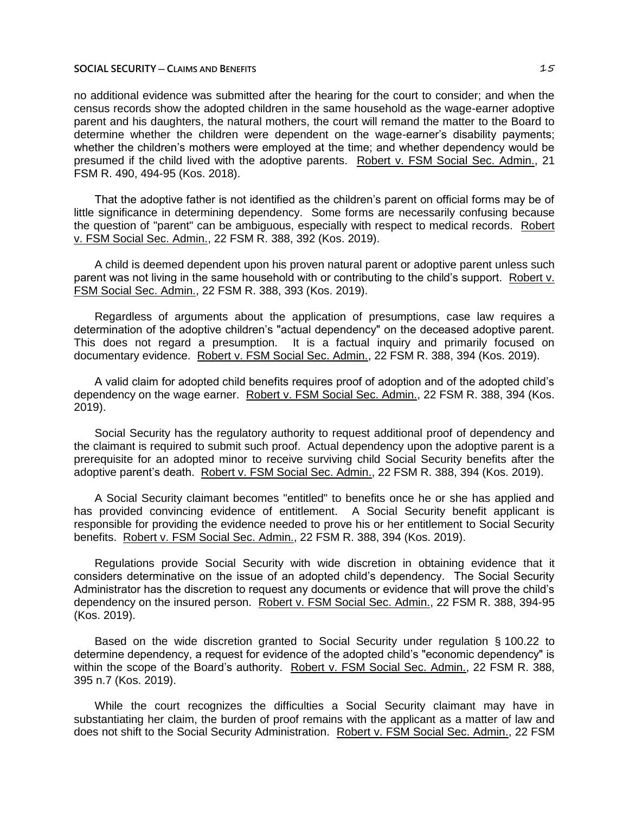no additional evidence was submitted after the hearing for the court to consider; and when the census records show the adopted children in the same household as the wage-earner adoptive parent and his daughters, the natural mothers, the court will remand the matter to the Board to determine whether the children were dependent on the wage-earner's disability payments; whether the children's mothers were employed at the time; and whether dependency would be presumed if the child lived with the adoptive parents. Robert v. FSM Social Sec. Admin., 21 FSM R. 490, 494-95 (Kos. 2018).

That the adoptive father is not identified as the children's parent on official forms may be of little significance in determining dependency. Some forms are necessarily confusing because the question of "parent" can be ambiguous, especially with respect to medical records. Robert v. FSM Social Sec. Admin., 22 FSM R. 388, 392 (Kos. 2019).

A child is deemed dependent upon his proven natural parent or adoptive parent unless such parent was not living in the same household with or contributing to the child's support. Robert v. FSM Social Sec. Admin., 22 FSM R. 388, 393 (Kos. 2019).

Regardless of arguments about the application of presumptions, case law requires a determination of the adoptive children's "actual dependency" on the deceased adoptive parent. This does not regard a presumption. It is a factual inquiry and primarily focused on documentary evidence. Robert v. FSM Social Sec. Admin., 22 FSM R. 388, 394 (Kos. 2019).

A valid claim for adopted child benefits requires proof of adoption and of the adopted child's dependency on the wage earner. Robert v. FSM Social Sec. Admin., 22 FSM R. 388, 394 (Kos. 2019).

Social Security has the regulatory authority to request additional proof of dependency and the claimant is required to submit such proof. Actual dependency upon the adoptive parent is a prerequisite for an adopted minor to receive surviving child Social Security benefits after the adoptive parent's death. Robert v. FSM Social Sec. Admin., 22 FSM R. 388, 394 (Kos. 2019).

A Social Security claimant becomes "entitled" to benefits once he or she has applied and has provided convincing evidence of entitlement. A Social Security benefit applicant is responsible for providing the evidence needed to prove his or her entitlement to Social Security benefits. Robert v. FSM Social Sec. Admin., 22 FSM R. 388, 394 (Kos. 2019).

Regulations provide Social Security with wide discretion in obtaining evidence that it considers determinative on the issue of an adopted child's dependency. The Social Security Administrator has the discretion to request any documents or evidence that will prove the child's dependency on the insured person. Robert v. FSM Social Sec. Admin., 22 FSM R. 388, 394-95 (Kos. 2019).

Based on the wide discretion granted to Social Security under regulation § 100.22 to determine dependency, a request for evidence of the adopted child's "economic dependency" is within the scope of the Board's authority. Robert v. FSM Social Sec. Admin., 22 FSM R. 388, 395 n.7 (Kos. 2019).

While the court recognizes the difficulties a Social Security claimant may have in substantiating her claim, the burden of proof remains with the applicant as a matter of law and does not shift to the Social Security Administration. Robert v. FSM Social Sec. Admin., 22 FSM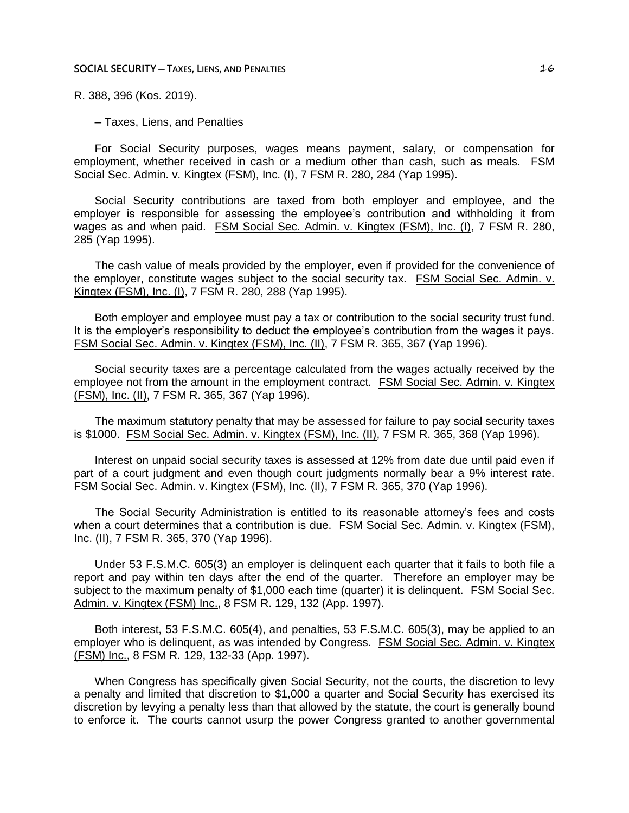R. 388, 396 (Kos. 2019).

─ Taxes, Liens, and Penalties

For Social Security purposes, wages means payment, salary, or compensation for employment, whether received in cash or a medium other than cash, such as meals. FSM Social Sec. Admin. v. Kingtex (FSM), Inc. (I), 7 FSM R. 280, 284 (Yap 1995).

Social Security contributions are taxed from both employer and employee, and the employer is responsible for assessing the employee's contribution and withholding it from wages as and when paid. FSM Social Sec. Admin. v. Kingtex (FSM), Inc. (I), 7 FSM R. 280, 285 (Yap 1995).

The cash value of meals provided by the employer, even if provided for the convenience of the employer, constitute wages subject to the social security tax. FSM Social Sec. Admin. v. Kingtex (FSM), Inc. (I), 7 FSM R. 280, 288 (Yap 1995).

Both employer and employee must pay a tax or contribution to the social security trust fund. It is the employer's responsibility to deduct the employee's contribution from the wages it pays. FSM Social Sec. Admin. v. Kingtex (FSM), Inc. (II), 7 FSM R. 365, 367 (Yap 1996).

Social security taxes are a percentage calculated from the wages actually received by the employee not from the amount in the employment contract. FSM Social Sec. Admin. v. Kingtex (FSM), Inc. (II), 7 FSM R. 365, 367 (Yap 1996).

The maximum statutory penalty that may be assessed for failure to pay social security taxes is \$1000. FSM Social Sec. Admin. v. Kingtex (FSM), Inc. (II), 7 FSM R. 365, 368 (Yap 1996).

Interest on unpaid social security taxes is assessed at 12% from date due until paid even if part of a court judgment and even though court judgments normally bear a 9% interest rate. FSM Social Sec. Admin. v. Kingtex (FSM), Inc. (II), 7 FSM R. 365, 370 (Yap 1996).

The Social Security Administration is entitled to its reasonable attorney's fees and costs when a court determines that a contribution is due. FSM Social Sec. Admin. v. Kingtex (FSM), Inc. (II), 7 FSM R. 365, 370 (Yap 1996).

Under 53 F.S.M.C. 605(3) an employer is delinquent each quarter that it fails to both file a report and pay within ten days after the end of the quarter. Therefore an employer may be subject to the maximum penalty of \$1,000 each time (quarter) it is delinquent. FSM Social Sec. Admin. v. Kingtex (FSM) Inc., 8 FSM R. 129, 132 (App. 1997).

Both interest, 53 F.S.M.C. 605(4), and penalties, 53 F.S.M.C. 605(3), may be applied to an employer who is delinquent, as was intended by Congress. FSM Social Sec. Admin. v. Kingtex (FSM) Inc., 8 FSM R. 129, 132-33 (App. 1997).

When Congress has specifically given Social Security, not the courts, the discretion to levy a penalty and limited that discretion to \$1,000 a quarter and Social Security has exercised its discretion by levying a penalty less than that allowed by the statute, the court is generally bound to enforce it. The courts cannot usurp the power Congress granted to another governmental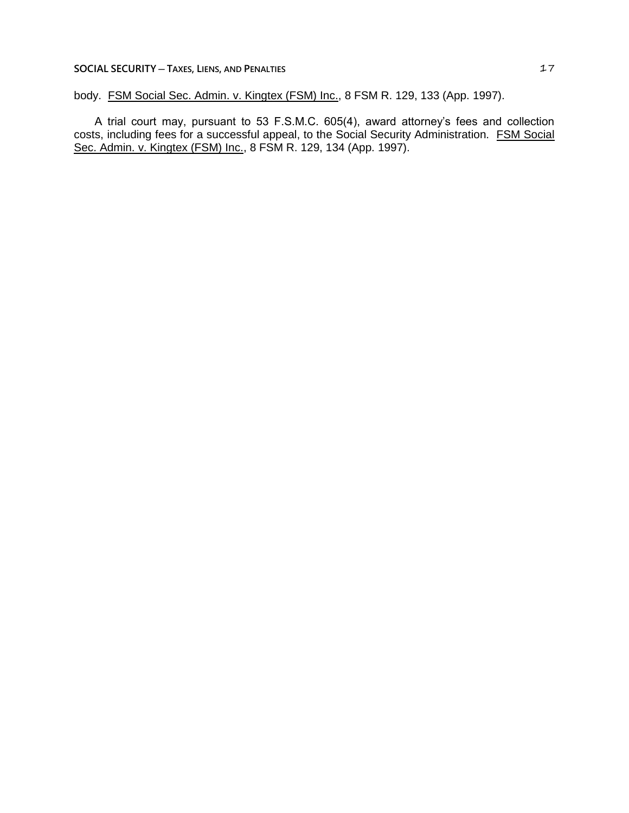## **SOCIAL SECURITY** — **TAXES**, LIENS, AND PENALTIES **17**

body. FSM Social Sec. Admin. v. Kingtex (FSM) Inc., 8 FSM R. 129, 133 (App. 1997).

A trial court may, pursuant to 53 F.S.M.C. 605(4), award attorney's fees and collection costs, including fees for a successful appeal, to the Social Security Administration. FSM Social Sec. Admin. v. Kingtex (FSM) Inc., 8 FSM R. 129, 134 (App. 1997).